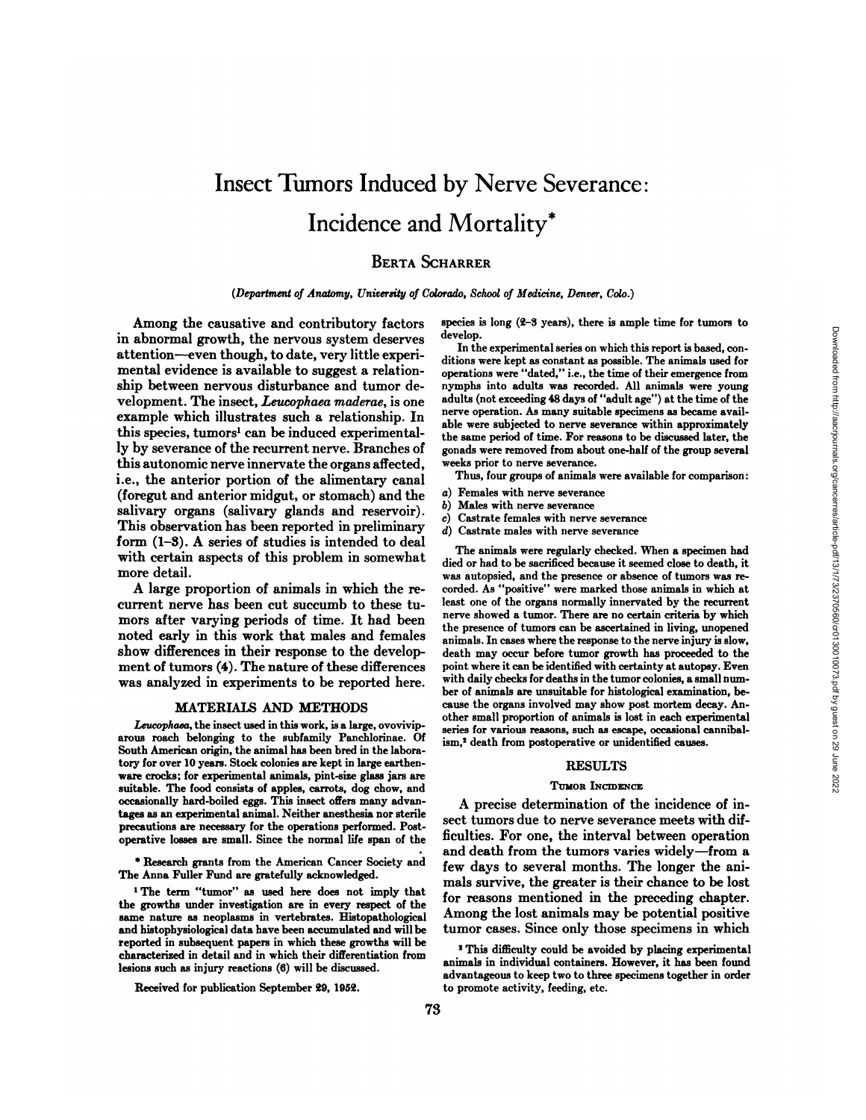# Insect Tumors Induced by Nerve Severance: Incidence and Mortality\*

# **BERTA SCHARRER**

*(Department of Anatomy, University of Colorado, School of Medicine, Denver, Colo.)*

Among the causative and contributory factors in abnormal growth, the nervous system deserves attention—even though, to date, very little experi mental evidence is available to suggest a relation- operations were "dated," i.e., the time of their emergence from ship between nervous disturbance and tumor de- nymphs into adults was recorded. All animals were young velopment. The insect, Leucophaea maderae, is one example which illustrates such a relationship. In this species, tumors<sup>1</sup> can be induced experimentally by severance of the recurrent nerve. Branches of this autonomie nerve innervate the organs affected, i.e., the anterior portion of the alimentary canal<br>(foregut and anterior midgut or stomach) and the  $\alpha$ ) (foregut and anterior midgut, or stomach) and the salivary organs (salivary glands and reservoir).  $c_0$ This observation has been reported in preliminary form (1-3). A series of studies is intended to deal with certain aspects of this problem in somewhat more detail.

current nerve has been cut succumb to these tumors after varying periods of time. It had been noted early in this work that males and females show differences in their response to the develop ment of tumors (4). The nature of these differences was analyzed in experiments to be reported here.

# MATERIALS AND METHODS

*Leucophaea, the insect used in this work, is a large, ovovivip* arous roach belonging to the subfamily Panchlorinae. Of South American origin, the animal has been bred in the labora tory for over 10 years. Stock colonies are kept in large earthen-ware crocks; for experimental animals, pint-size glass jars are suitable. The food consists of apples, carrots, dog chow, and occasionally hard-boiled eggs. This insect offers many advan tages as an experimental animal. Neither anesthesia nor sterile precautions are necessary for the operations performed. Post operative losses are small. Since the normal life span of the

\* Research grants from the American Cancer Society and The Anna Fuller Fund are gratefully acknowledged.

1The term "tumor" as used here does not imply that the growths under investigation are in every respect of the same nature as neoplasms in vertebrates. Histopathological and histophysiological data have been accumulated and will be reported in subsequent papers in which these growths will be characterized in detail and in which their differentiation from lesions such as injury reactions (6) will be discussed.

Received for publication September 29, 1952.

species is long (2-3 years), there is ample time for tumors to develop.

In the experimental series on which this report is based, con ditions were kept as constant as possible. The animals used for adults (not exceeding 48 days of "adult age") at the time of the nerve operation. As many suitable specimens as became avail able were subjected to nerve severance within approximately the same period of time. For reasons to be discussed later, the gonads were removed from about one-half of the group several weeks prior to nerve severance.

Thus, four groups of animals were available for comparison:

- Females with nerve severance
- *b) Males with nerve severance*
- *c) Castrate females with nerve severance*
- *d) Castrate males with nerve severance*

A large proportion of animals in which the re- corded. As "positive" were marked those animals in which at The animals were regularly checked. When a specimen had died or had to be sacrificed because it seemed close to death, it was autopsied, and the presence or absence of tumors was releast one of the organs normally innervated by the recurrent nerve showed a tumor. There are no certain criteria by which the presence of tumors can be ascertained in living, unopened animals. In cases where the response to the nerve injury is slow, death may occur before tumor growth has proceeded to the point where it can be identified with certainty at autopsy. Even with daily checks for deaths in the tumor colonies, a small num ber of animals are unsuitable for histological examination, because the organs involved may show post mortem decay. An other small proportion of animals is lost in each experimental series for various reasons, such as escape, occasional cannibal ism,2 death from postoperative or unidentified causes.

### **RESULTS**

#### TUMOR INCIDENCE

A precise determination of the incidence of in sect tumors due to nerve severance meets with dif ficulties. For one, the interval between operation and death from the tumors varies widely—froma few days to several months. The longer the ani mals survive, the greater is their chance to be lost for reasons mentioned in the preceding chapter. Among the lost animals may be potential positive tumor cases. Since only those specimens in which

2This difficulty could be avoided by placing experimental animals in individual containers. However, it has been found advantageous to keep two to three specimens together in order to promote activity, feeding, etc.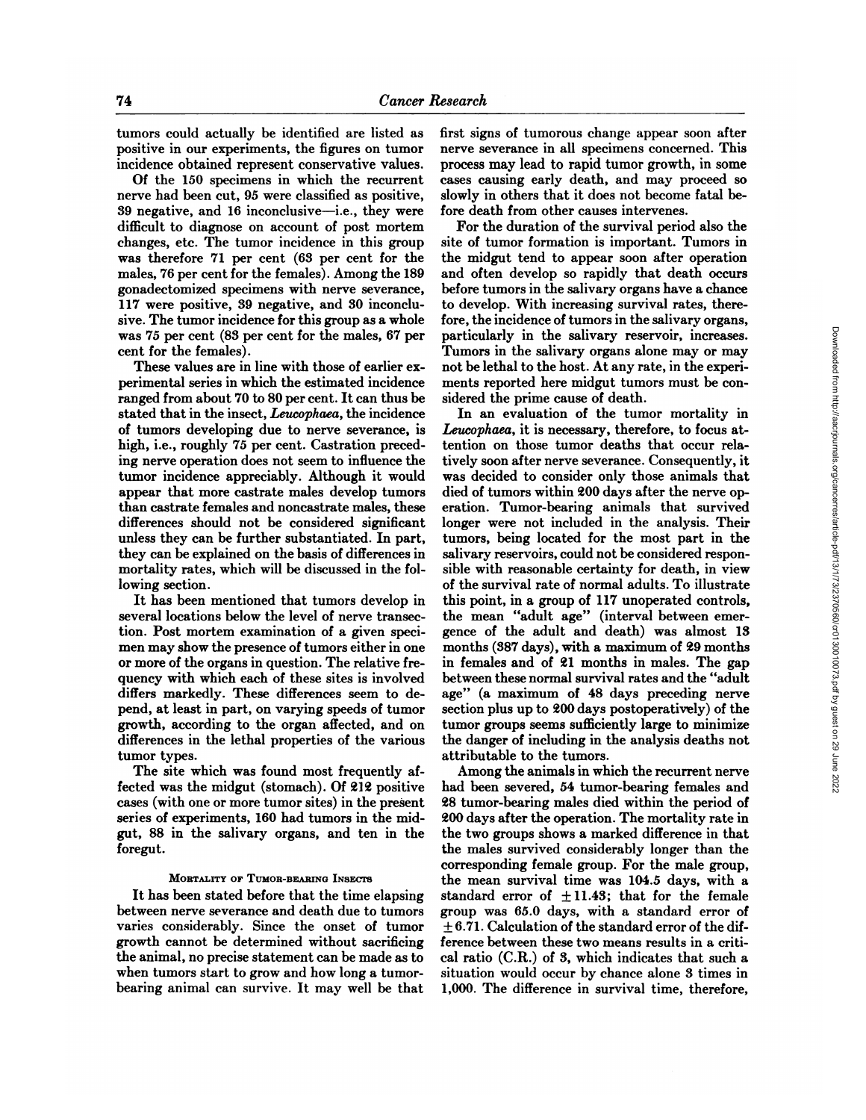tumors could actually be identified are listed as positive in our experiments, the figures on tumor incidence obtained represent conservative values.

Of the 150 specimens in which the recurrent nerve had been cut,95 were classified as positive, <sup>39</sup> negative, and <sup>16</sup> inconclusive—i.e., they were difficult to diagnose on account of post mortem changes, etc. The tumor incidence in this group was therefore 71 per cent (63 per cent for the males, 76 per cent for the females). Among the 189 gonadectomized specimens with nerve severance, 117 were positive, 39 negative, and 30 inconclu sive. The tumor incidence for this group as a whole was 75 per cent (83 per cent for the males, 67 per cent for the females).

These values are in line with those of earlier ex perimental series in which the estimated incidence ranged from about 70 to 80 per cent. It can thus be stated that in the insect, Leucophaea, the incidence of tumors developing due to nerve severance, is high, i.e., roughly 75 per cent. Castration preced ing nerve operation does not seem to influence the tumor incidence appreciably. Although it would appear that more castrate males develop tumors than castrate females and noncastrate males, these differences should not be considered significant unless they can be further substantiated. In part, they can be explained on the basis of differences in mortality rates, which will be discussed in the fol lowing section.

several locations below the level of nerve transection. Post mortem examination of a given speci men may show the presence of tumors either in one or more of the organs in question. The relative fre quency with which each of these sites is involved between these normal survival rates and the "adult differs markedly. These differences seem to de pend, at least in part, on varying speeds of tumor growth, according to the organ affected, and on differences in the lethal properties of the various tumor types.

The site which was found most frequently af fected was the midgut (stomach). Of 212 positive cases (with one or more tumor sites) in the present series of experiments, 160 had tumors in the midgut, 88 in the salivary organs, and ten in the foregut.

# MORTALITY OF TUMOR-BEARING INSECTS

It has been stated before that the time elapsing between nerve severance and death due to tumors varies considerably. Since the onset of tumor growth cannot be determined without sacrificing the animal, no precise statement can be made as to when tumors start to grow and how long a tumorbearing animal can survive. It may well be that first signs of tumorous change appear soon after nerve severance in all specimens concerned. This process may lead to rapid tumor growth, in some cases causing early death, and may proceed so slowly in others that it does not become fatal be fore death from other causes intervenes.

For the duration of the survival period also the site of tumor formation is important. Tumors in the midgut tend to appear soon after operation and often develop so rapidly that death occurs before tumors in the salivary organs have a chance to develop. With increasing survival rates, there fore, the incidence of tumors in the salivary organs, particularly in the salivary reservoir, increases. Tumors in the salivary organs alone may or may not be lethal to the host. At any rate, in the experi ments reported here midgut tumors must be con sidered the prime cause of death.

It has been mentioned that tumors develop in this point, in a group of 117 unoperated controls,<br>veral locations below the level of nerve transec- the mean "adult age" (interval between emer-In an evaluation of the tumor mortality in *Leucophaea, it is necessary, therefore, to focus at* tention on those tumor deaths that occur rela tively soon after nerve severance. Consequently, it was decided to consider only those animals that died of tumors within 200 days after the nerve operation. Tumor-bearing animals that survived longer were not included in the analysis. Their tumors, being located for the most part in the salivary reservoirs, could not be considered responsible with reasonable certainty for death, in view of the survival rate of normal adults. To illustrate this point, in a group of 117 unoperated controls, gence of the adult and death) was almost 13 months (387 days), with a maximum of 29 months in females and of 21 months in males. The gap age" (a maximum of 48 days preceding nerve section plus up to 200 days postoperatively) of the tumor groups seems sufficiently large to minimize the danger of including in the analysis deaths not attributable to the tumors.

> Among the animals in which the recurrent nerve had been severed, 54 tumor-bearing females and 28 tumor-bearing males died within the period of 200 days after the operation. The mortality rate in the two groups shows a marked difference in that the males survived considerably longer than the corresponding female group. For the male group, the mean survival time was 104.5 days, with a standard error of  $\pm 11.43$ ; that for the female group was 65.0 days, with a standard error of  $\pm$  6.71. Calculation of the standard error of the difference between these two means results in a criti cal ratio (C.R.) of 3, which indicates that such a situation would occur by chance alone 3 times in 1,000. The difference in survival time, therefore,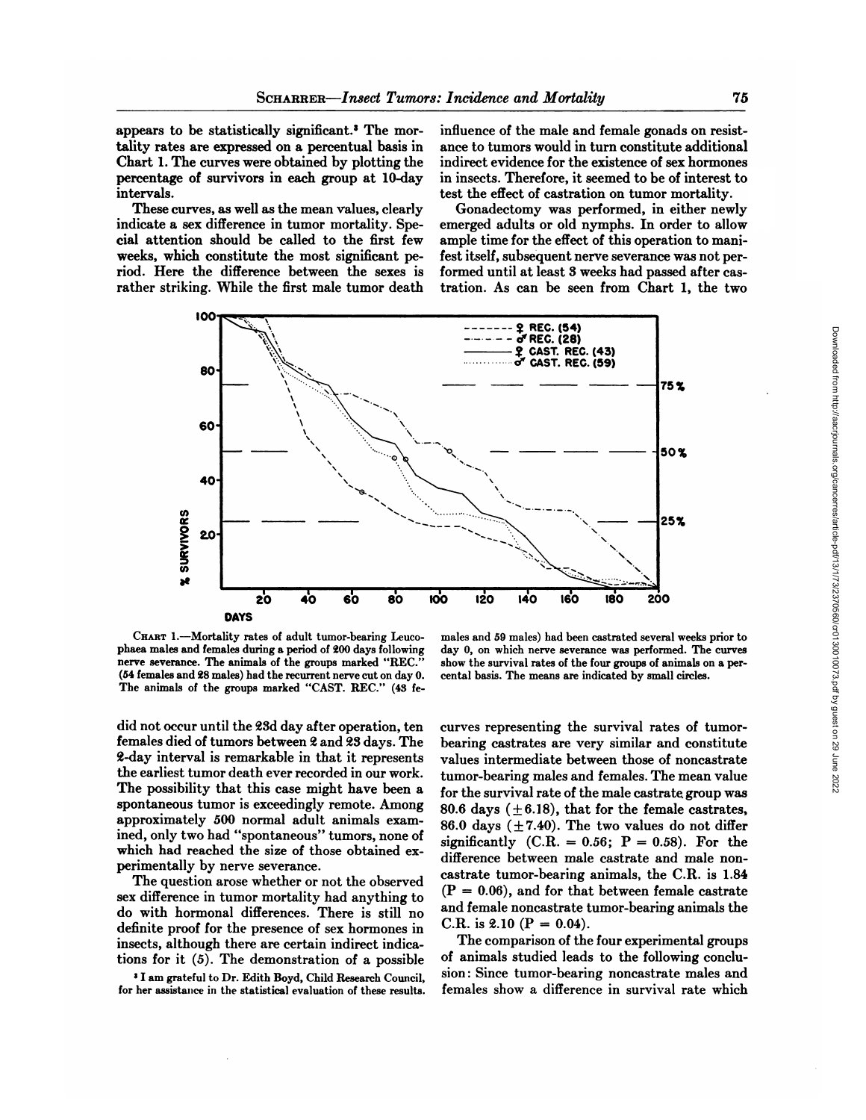appears to be statistically significant.3 The mor tality rates are expressed on a percentual basis in Chart 1. The curves were obtained by plotting the percentage of survivors in each group at 10-day intervals.

These curves, as well as the mean values, clearly indicate a sex difference in tumor mortality. Spe cial attention should be called to the first few weeks, which constitute the most significant pe riod. Here the difference between the sexes is rather striking. While the first male tumor death

influence of the male and female gonads on resist ance to tumors would in turn constitute additional indirect evidence for the existence of sex hormones in insects. Therefore, it seemed to be of interest to test the effect of castration on tumor mortality.

Gonadectomy was performed, in either newly emerged adults or old nymphs. In order to allow ample time for the effect of this operation to mani fest itself, subsequent nerve severance was not per formed until at least 3 weeks had passed after cas tration. As can be seen from Chart 1, the two



CHART 1.-Mortality rates of adult tumor-bearing Leucophaea males and females during a period of 200 days following nerve severance. The animals of the groups marked "REC." (54 females and <sup>28</sup> males) had the recurrent nerve cut on day 0. The animals of the groups marked "CAST. REC." (43 fe

males and 59 males) had been castrated several weeks prior to day 0, on which nerve severance was performed. The curves show the survival rates of the four groups of animals on a per cental basis. The means are indicated by small circles.

did not occur until the 23d day after operation, ten females died of tumors between 2 and 23 days. The 2-day interval is remarkable in that it represents the earliest tumor death ever recorded in our work. The possibility that this case might have been a spontaneous tumor is exceedingly remote. Among approximately 500 normal adult animals examined, only two had "spontaneous" tumors, none of which had reached the size of those obtained ex perimentally by nerve severance.

The question arose whether or not the observed sex difference in tumor mortality had anything to do with hormonal differences. There is still no definite proof for the presence of sex hormones in insects, although there are certain indirect indica tions for it (5). The demonstration of a possible

»I am grateful to Dr. Edith Boyd, Child Research Council, for her assistance in the statistical evaluation of these results.

curves representing the survival rates of tumorbearing castrates are very similar and constitute values intermediate between those of noncastrate tumor-bearing males and females. The mean value for the survival rate of the male castrate, group was 80.6 days ( $\pm$ 6.18), that for the female castrates, 86.0 days  $(\pm 7.40)$ . The two values do not differ significantly  $(C.R. = 0.56; P = 0.58)$ . For the difference between male castrate and male noncastrate tumor-bearing animals, the C.R. is 1.84  $(P = 0.06)$ , and for that between female castrate and female noncastrate tumor-bearing animals the C.R. is 2.10 ( $P = 0.04$ ).

The comparison of the four experimental groups of animals studied leads to the following conclu sion: Since tumor-bearing noncastrate males and females show a difference in survival rate which